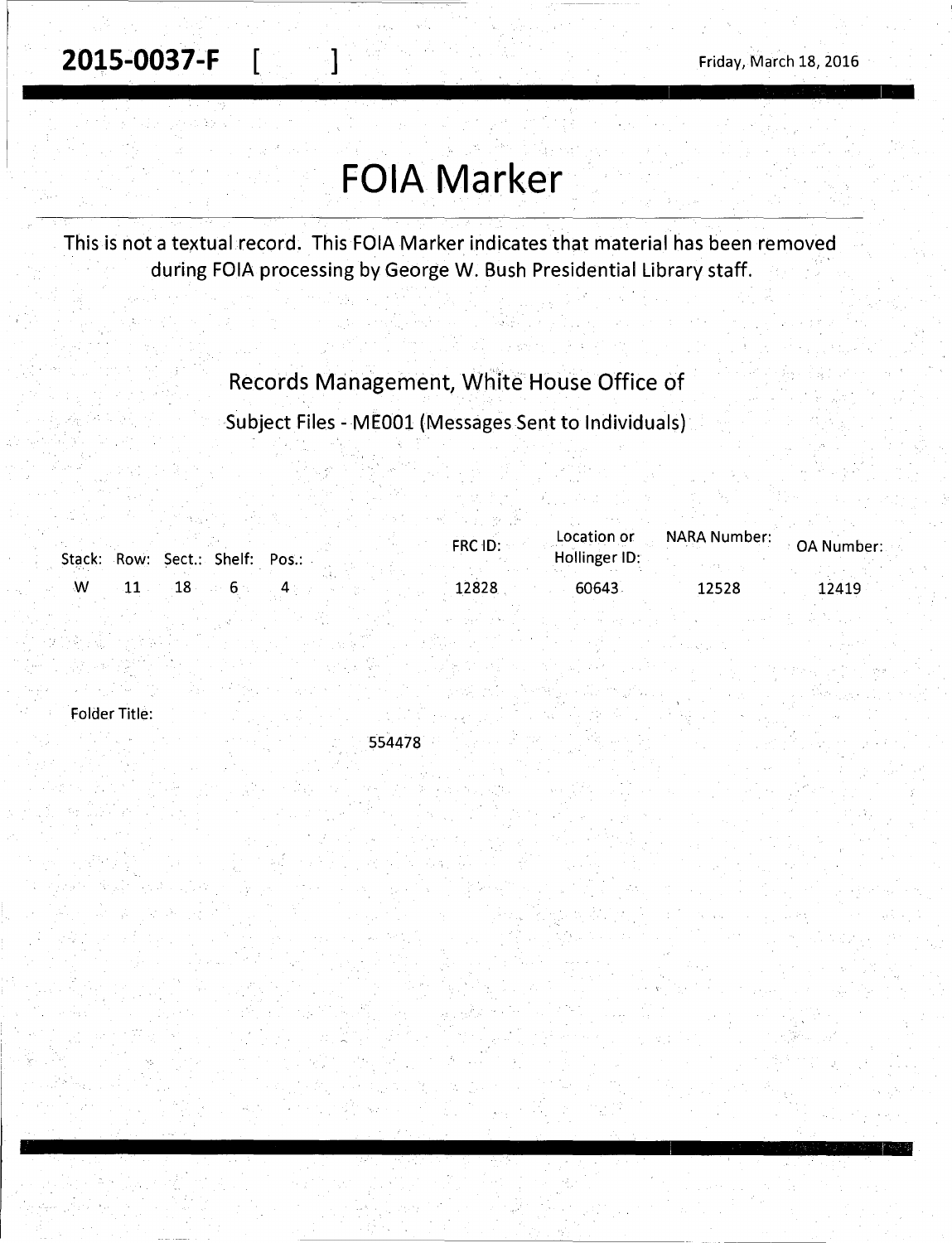**2015-0037-F**  $\begin{bmatrix} 1 & 1 & 1 \end{bmatrix}$  Friday, March 18, 2016

# **FOIA Marker**

This is not a textual record. This FOIA Marker indicates that material has been removed during FOIA processing by George W. Bush Presidential Library staff.

## Records Management, White House Office of

Subject Files - MEOOl (Messages Sent to Individuals)

|  |                                 |  | $FRC$ $ID:$ | Location or   | NARA Number: | OA Number: |
|--|---------------------------------|--|-------------|---------------|--------------|------------|
|  | Stack: Row: Sect.: Shelf: Pos.: |  |             | Hollinger ID: |              |            |
|  |                                 |  | 12828       | 60643         | 12528        | 12419      |

Folder Title:

554478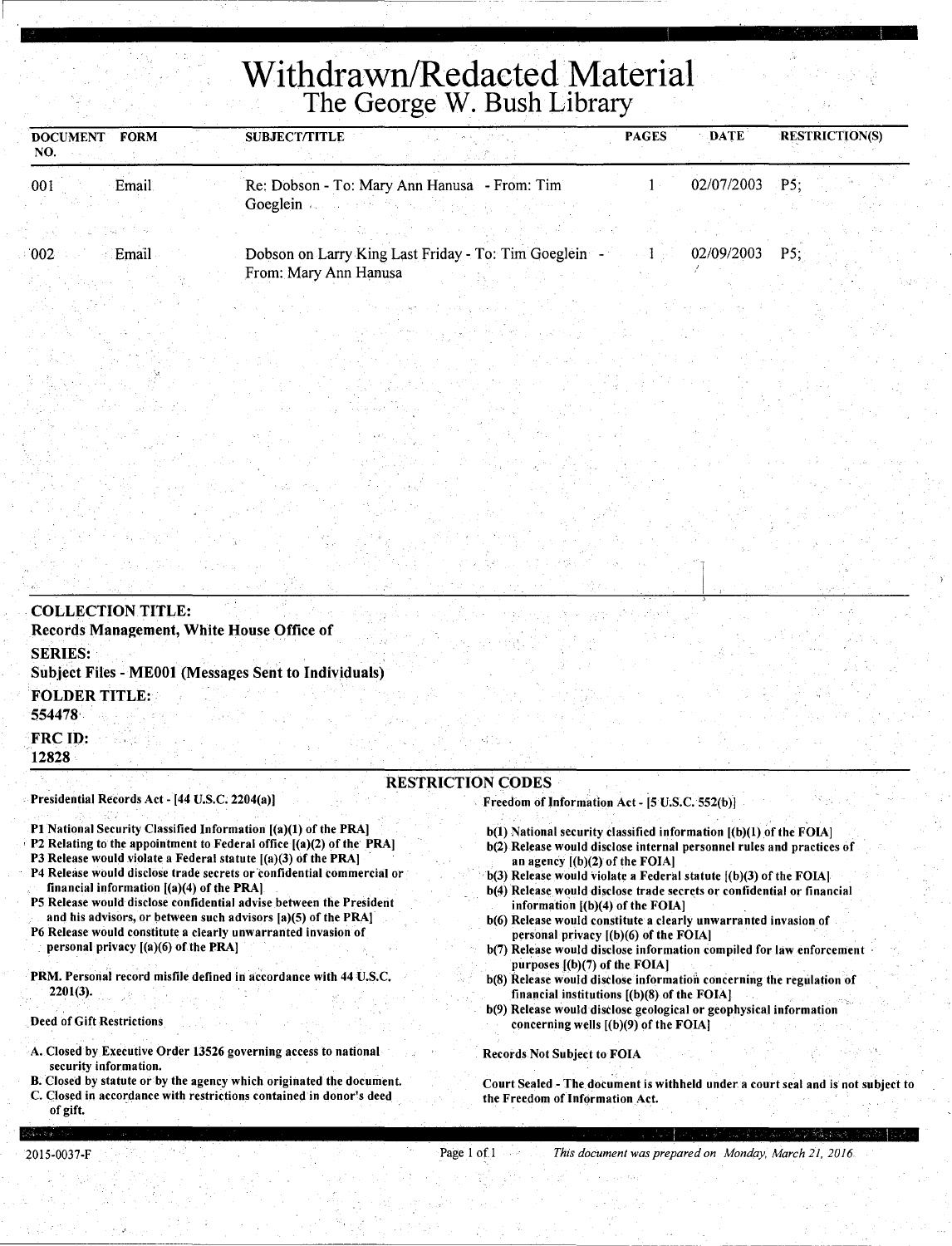# **Withdrawn/Redacted Material**  The George W. Bush Library

| <b>FORM</b><br><b>DOCUMENT</b><br>NO. | <b>SUBJECT/TITLE</b>                                  | <b>PAGES</b> | <b>DATE</b> | <b>RESTRICTION(S)</b> |
|---------------------------------------|-------------------------------------------------------|--------------|-------------|-----------------------|
| Email<br>001                          | Re: Dobson - To: Mary Ann Hanusa - From: Tim          |              | 02/07/2003  | P5:                   |
|                                       | Goeglein                                              |              |             |                       |
|                                       |                                                       |              |             |                       |
| 002 <sub>1</sub><br>Email             | Dobson on Larry King Last Friday - To: Tim Goeglein - |              | 02/09/2003  | PS:                   |
|                                       | From: Mary Ann Hanusa                                 |              |             |                       |

| <b>COLLECTION TITLE:</b><br>Records Management, White House Office of                                                                                                                                     |  |                          |                                                |                                                                                                                                             |  |
|-----------------------------------------------------------------------------------------------------------------------------------------------------------------------------------------------------------|--|--------------------------|------------------------------------------------|---------------------------------------------------------------------------------------------------------------------------------------------|--|
| <b>SERIES:</b><br>Subject Files - ME001 (Messages Sent to Individuals)                                                                                                                                    |  |                          |                                                |                                                                                                                                             |  |
| <b>FOLDER TITLE:</b><br>554478                                                                                                                                                                            |  |                          |                                                |                                                                                                                                             |  |
| <b>FRC ID:</b><br>12828                                                                                                                                                                                   |  |                          |                                                |                                                                                                                                             |  |
| Presidential Records Act - [44 U.S.C. 2204(a)]                                                                                                                                                            |  | <b>RESTRICTION CODES</b> | Freedom of Information Act - [5 U.S.C. 552(b)] |                                                                                                                                             |  |
| P1 National Security Classified Information [(a)(1) of the PRA]<br>P2 Relating to the appointment to Federal office [(a)(2) of the PRA]<br>P3 Release would violate a Federal statute [(a)(3) of the PRA] |  |                          | an agency $[(b)(2)$ of the FOIA]               | b(1) National security classified information [(b)(1) of the FOIA]<br>b(2) Release would disclose internal personnel rules and practices of |  |

- P4 Release would disclose trade secrets or confidential commercial or financial information [(a)(4) of the PRA)
- PS Release would disclose confidential advise between the President
- and his advisors, or between such advisors [a)(S) of the PRA)
- P6 Release would constitute a clearly unwarranted invasion of . personal privacy [(a)(6) of the PRA)
- PRM. Personal record misfile defined in accordance with 44 U.S.C. 2201(3).

Deed of Gift Restrictions

- A. Closed by Executive Order 13526 governing access to national security information.
- B. Closed by statute or by the agency which originated the document. C. Closed in accordance with restrictions contained in donor's deed of gift.
- b(3) Release would violate a Federal statute [(b)(3) of the FOIA)
- b(4) Release would disclose trade secrets or confidential or financial information [(b)(4) of the FOIA)
- b(6) Release would constitute a clearly unwarranted invasion of personal privacy [(b)(6) of the FOIA)
- b(7) Release would disclose information compiled for law enforcement purposes [(b)(7) of the FOIA)
- b(8) Release would disclose information concerning the regulation of financial institutions [(b)(8) of the FOIA)
- b(9) Release would diselose geological or geophysical information concerning wells [(b)(9) of the FOIA)

Records Not Subject to FOIA

Court Sealed -The document is withheld under. a court seal and is not subject to the Freedom of Information Act.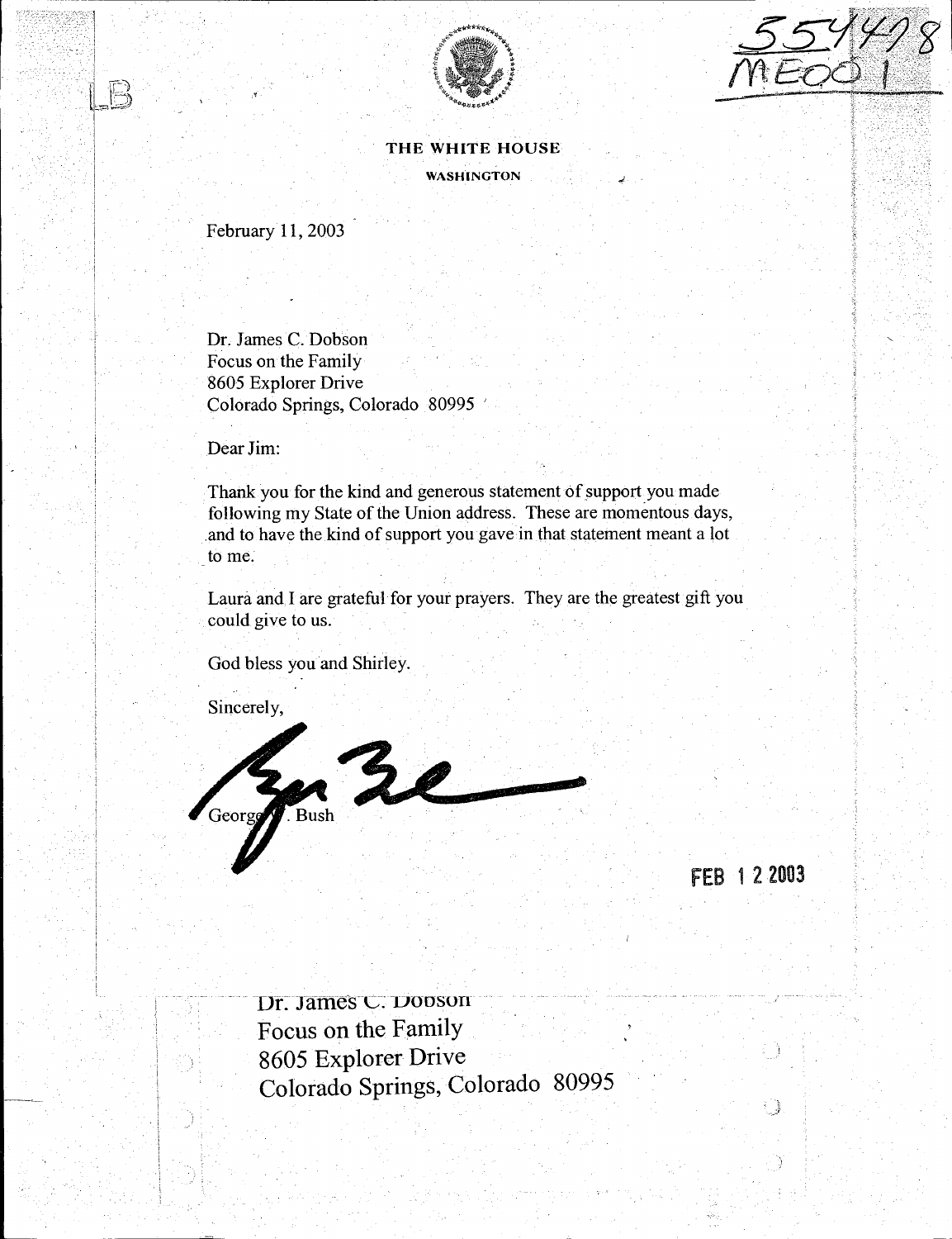



THE WHITE HOUSE WASHINGTON

February 11, 2003

 $\sim$  -11  $\sim$ į.

> Dr. James C. Dobson Focus on the Family 8605 Explorer Drive Colorado Springs, Colorado 80995 '

Dear Jim:

Thank you for the kind and generous statement of support you made following my State of the Union address. These are momentous days, and to have the kind of support you gave in that statement meant a lot to me.

Laura and I are grateful for your prayers. They are the greatest gift you could give to us.

God bless you and Shirley.

Sincerely,



FEB 1 2 2003

O

Dr. James C. Dooson Focus on the Family 8605 Explorer Drive Colorado Springs, Colorado 80995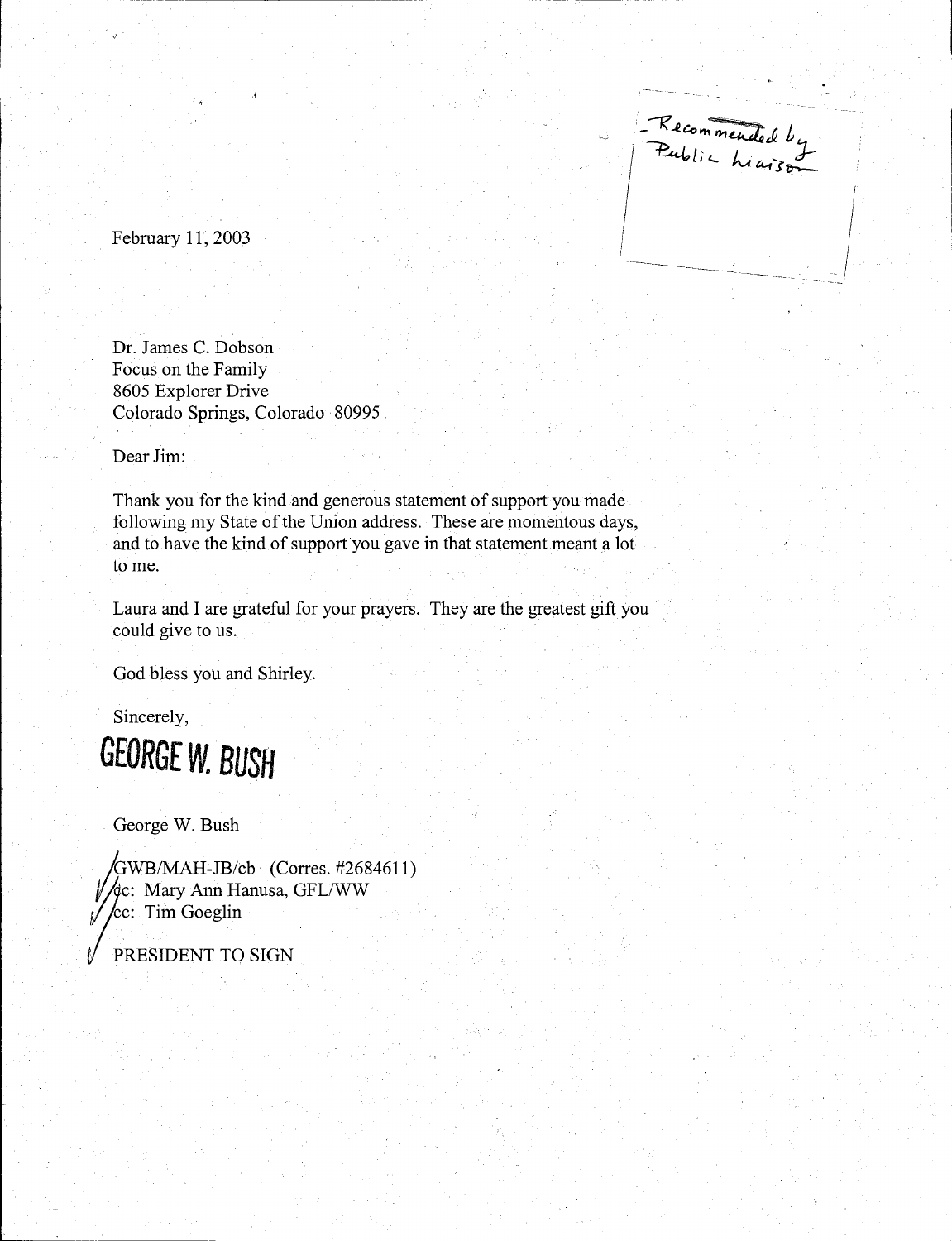- Recommended by<br>Public hiarson  $\left\vert \right\vert$ '---·--------

February 11, 2003

Dr. James C. Dobson Focus on the Family 8605 Explorer Drive Colorado Springs, Colorado 80995

Dear Jim:

Thank you for the kind and generous statement of support you made following my State of the Union address. These are momentous days, and to have the kind of support you gave in that statement meant a lot to me.

Laura and I are grateful for your prayers. They are the greatest gift you could give to us.

God bless you and Shirley.

Sincerely,



George W. Bush

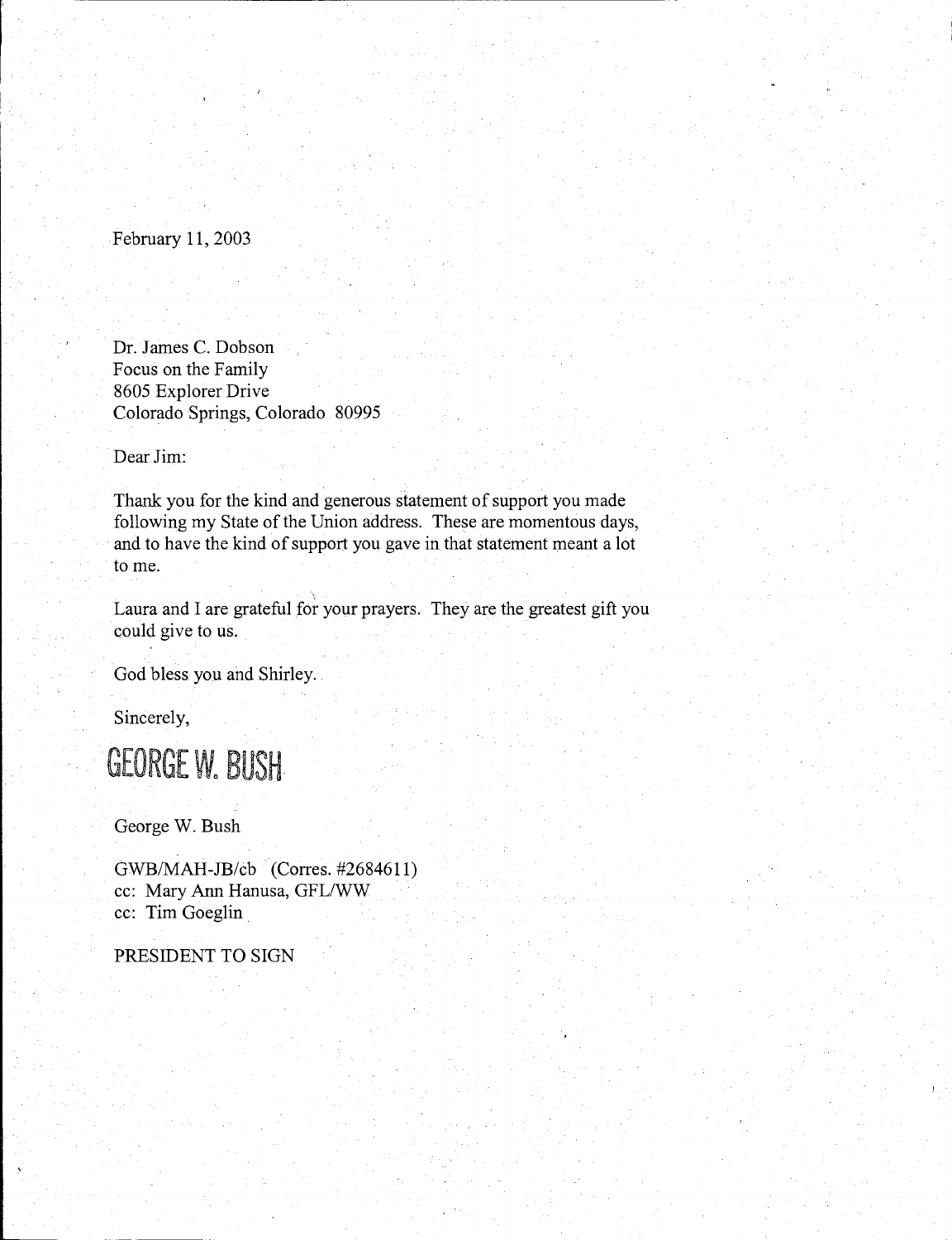February 11, 2003

Dr. James C. Dobson Focus on the Family 8605 Explorer Drive Colorado Springs, Colorado 80995

Dear Jim:

Thank you for the kind and generous statement of support you made following my State of the Union address. These are momentous days, and to have the kind of support you gave in that statement meant a lot to me.

\ Laura and I are grateful for your prayers. They are the greatest gift you could give to us.

God bless you and Shirley.

Sincerely,



George W. Bush

GWB/MAH-JB/cb (Corres. #2684611) cc: Mary Ann Hanusa, GFL/WW cc: Tim Goeglin

PRESIDENT TO SIGN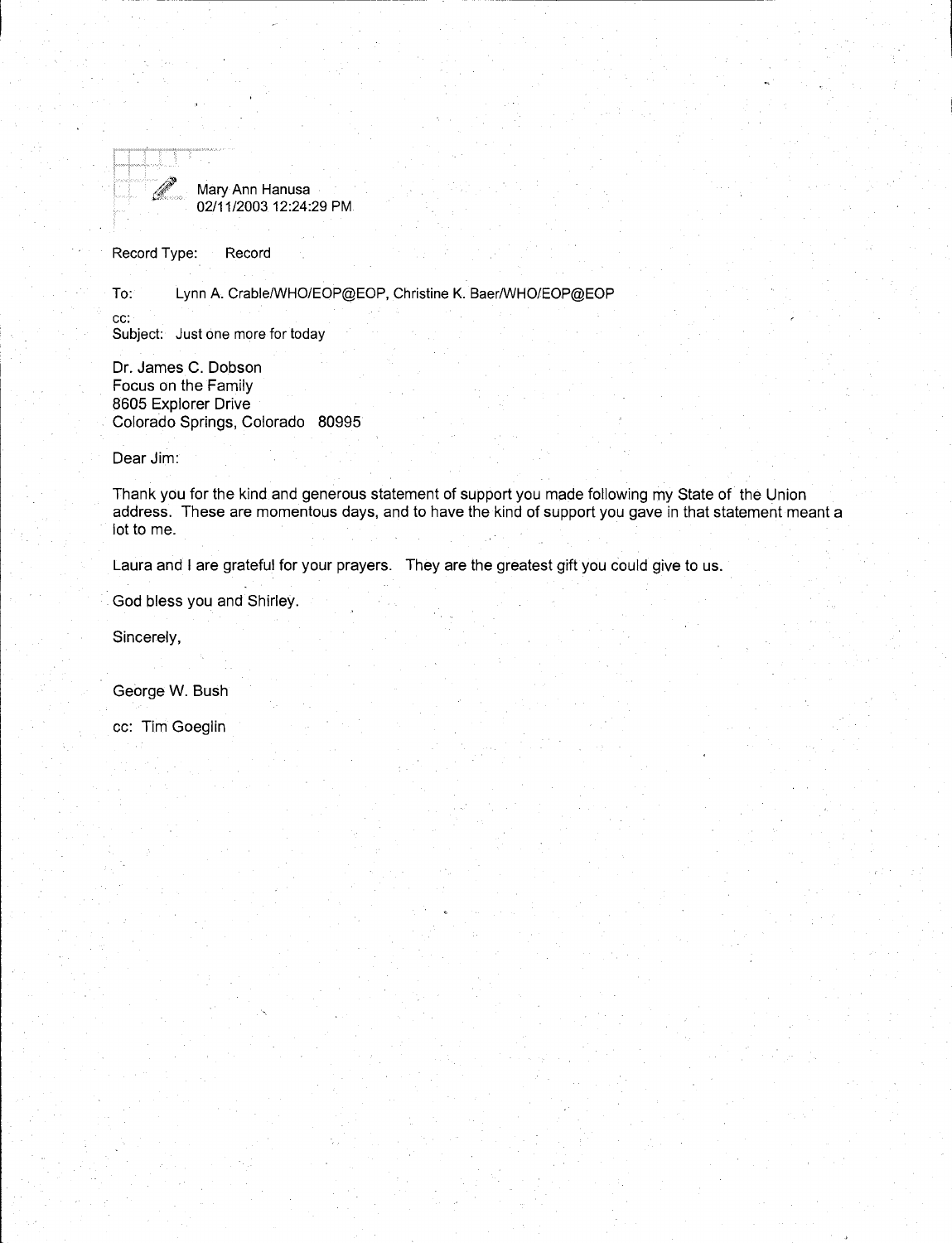

Mary Ann Hanusa 02/11/2003 12:24:29 PM

Record Type: Record

To: Lynn A. Crable/WHO/EOP@EOP, Christine K. Baer/WHO/EOP@EOP

cc: Subject: Just one more for today

Dr. James C. Dobson Focus on the Family 8605 Explorer Drive Colorado Springs, Colorado 80995

Dear Jim:

Thank you for the kind and generous statement of support you made following my State of the Union address. These are momentous days, and to have the kind of support you gave in that statement meant a lot to me.

Laura and I are grateful for your prayers. They are the greatest gift you could give to us.

God bless you and Shirley.

Sincerely,

George W. Bush

cc: Tim Goeglin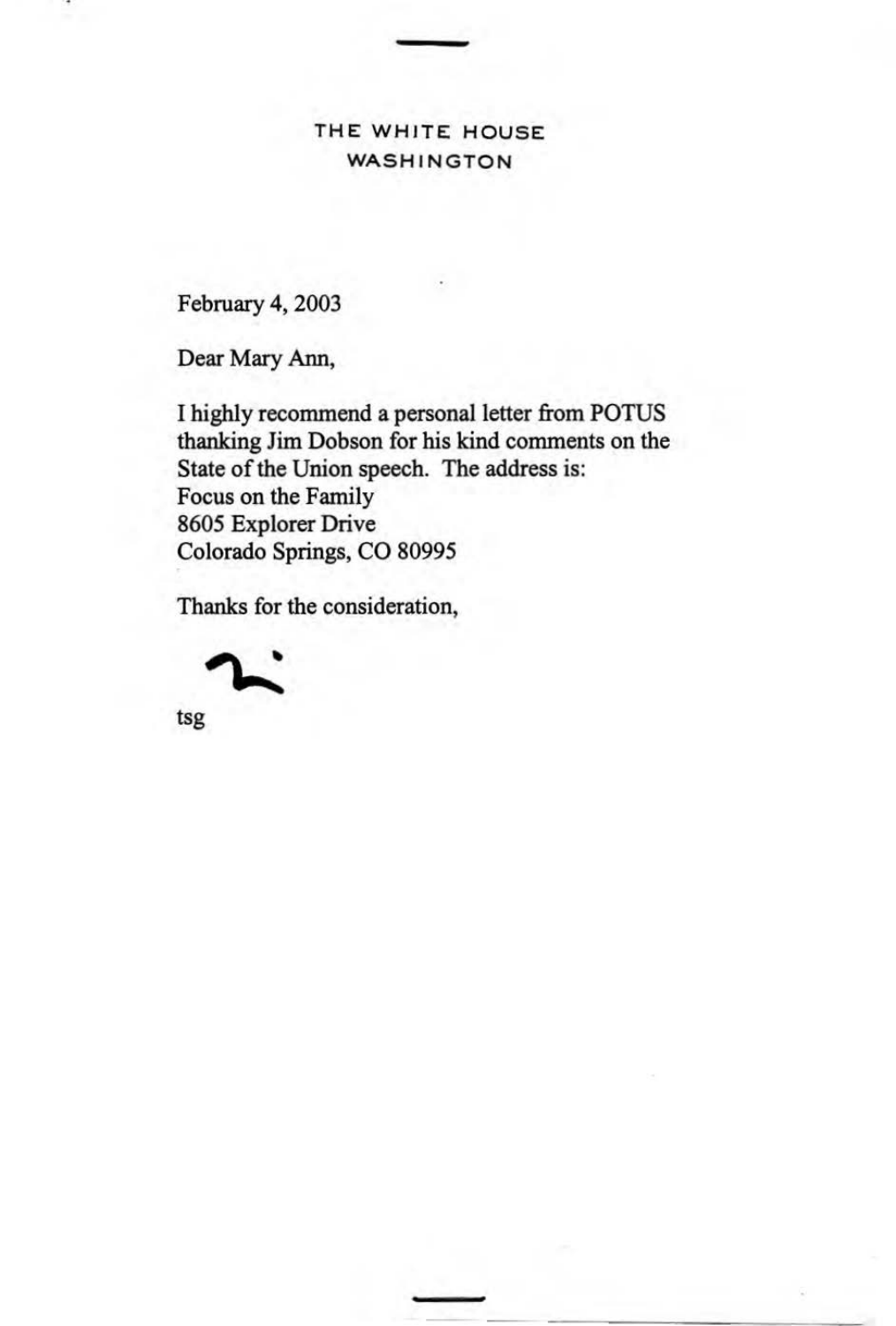THE WHITE HOUSE WASHINGTON

February 4, 2003

Dear Mary Ann,

I highly recommend a personal letter from POTUS thanking Jim Dobson for his kind comments on the State of the Union speech. The address is: Focus on the Family 8605 Explorer Drive Colorado Springs, CO 80995

Thanks for the consideration,



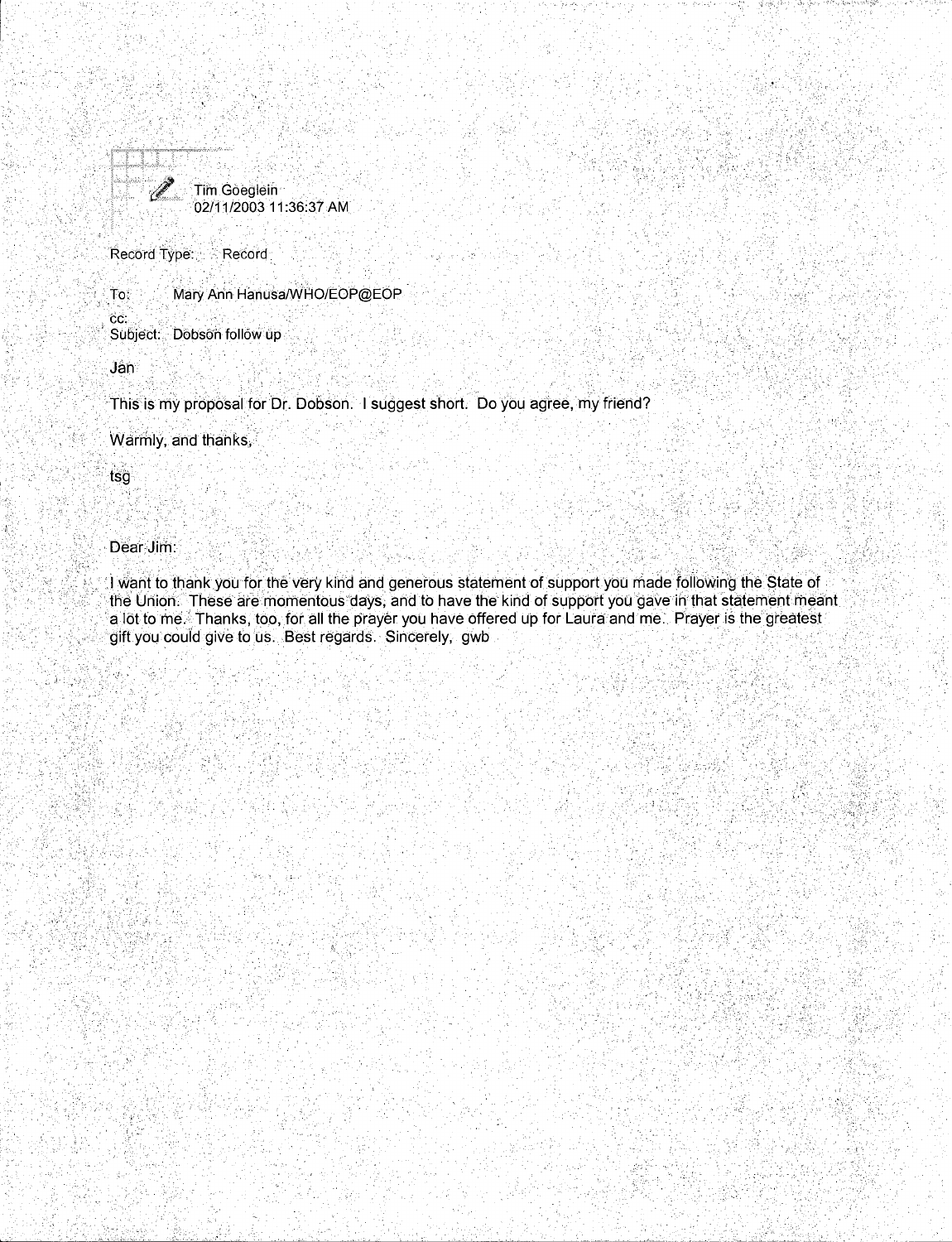

Record Type: Record

to: Mary Ann Hanusa/WHO/EOP@EOP

cc: Subject: Dobson follow up

.Jan

·Ttlis is my proposal for Dr. Dobson. I suggest short. Do you agree, my friend?

Warmly, and thanks,

tsg

 $\mathbb{Z}_2$  .

## Dear Jim:

... I want to thank you for the very kind and generous statement of support you made following the State of the Union. These are momentous days, and to have the kind of support you gave in that statement meant a lot to me. Thanks, too, for all the prayer you have offered up for Laura and me. Prayer is the greatest gift you could give to us. Best regards. Sincerely, gwb

, .....

 $^{\prime\prime}$ ,  $^{\prime\prime}$ 

<u>• Lupun, The ship and the strategies of the strategies of the strategies of the strategies of the strategies of </u>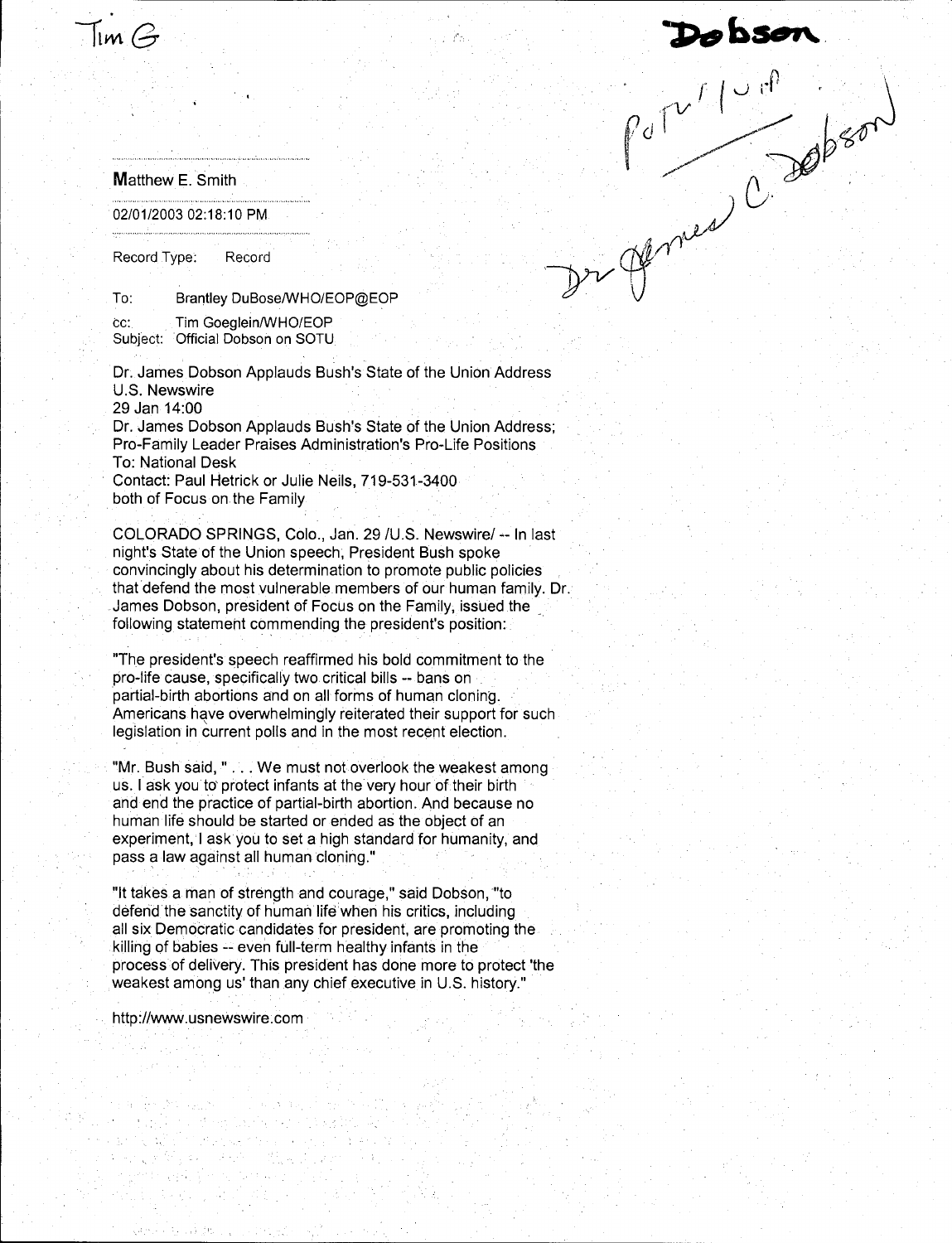# Dobson<br>Pulliped Cappen

### Matthew E. Smith

 $\mathfrak{Im}\,\mathcal{G}$ 

02/01/2003 02:18:10 PM

Record Type: Record

To: Brantley DuBose/WHO/EOP@EOP

cc: Tim Goeglein/WHO/EOP Subject: Official Dobson on SOTU

Dr. James Dobson Applauds Bush's State of the Union Address U.S. Newswire 29 Jan 14:00

Dr. James Dobson Applauds Bush's State of the Union Address; Pro-Family Leader Praises Administration's Pro-Life Positions To: National Desk Contact: Paul Hetrick or Julie Neils, 719-531-3400

both of Focus on the Family

COLORADO SPRINGS, Colo., Jan. 29 /U.S. Newswire/ -- In last night's State of the Union speech, President Bush spoke convincingly about his determination to promote public policies that defend the most vulnerable members of our human family. Dr. James Dobson, president of Focus on the Family, issued the \_ following statement commending the president's position:

"The president's speech reaffirmed his bold commitment to the pro-life cause, specifically two critical bills -- bans on partial-birth abortions and on all forms of human cloning. Americans have overwhelmingly reiterated their support for such legislation in current polls and in the most recent election.

"Mr. Bush said," ... We must not overlook the weakest among us. I ask you to' protect infants at the very hour of their birth and end the practice of partial-birth abortion. And because no human lite should be started or ended as the object of an experiment, I ask you to set a high standard for humanity, and pass a law against all human cloning."

"It takes a man of strength and courage," said Dobson, "to defend the sanctity of human life when his critics, including all six Democratic candidates for president, are promoting the killing of babies -- even full-term healthy infants in the process of delivery. This president has done more to protect 'the weakest among us' than any chief executive in U.S. history."

http://www.usnewswire.com

the direct last of the Chicago

الكبرة فر

aya ya m

n, della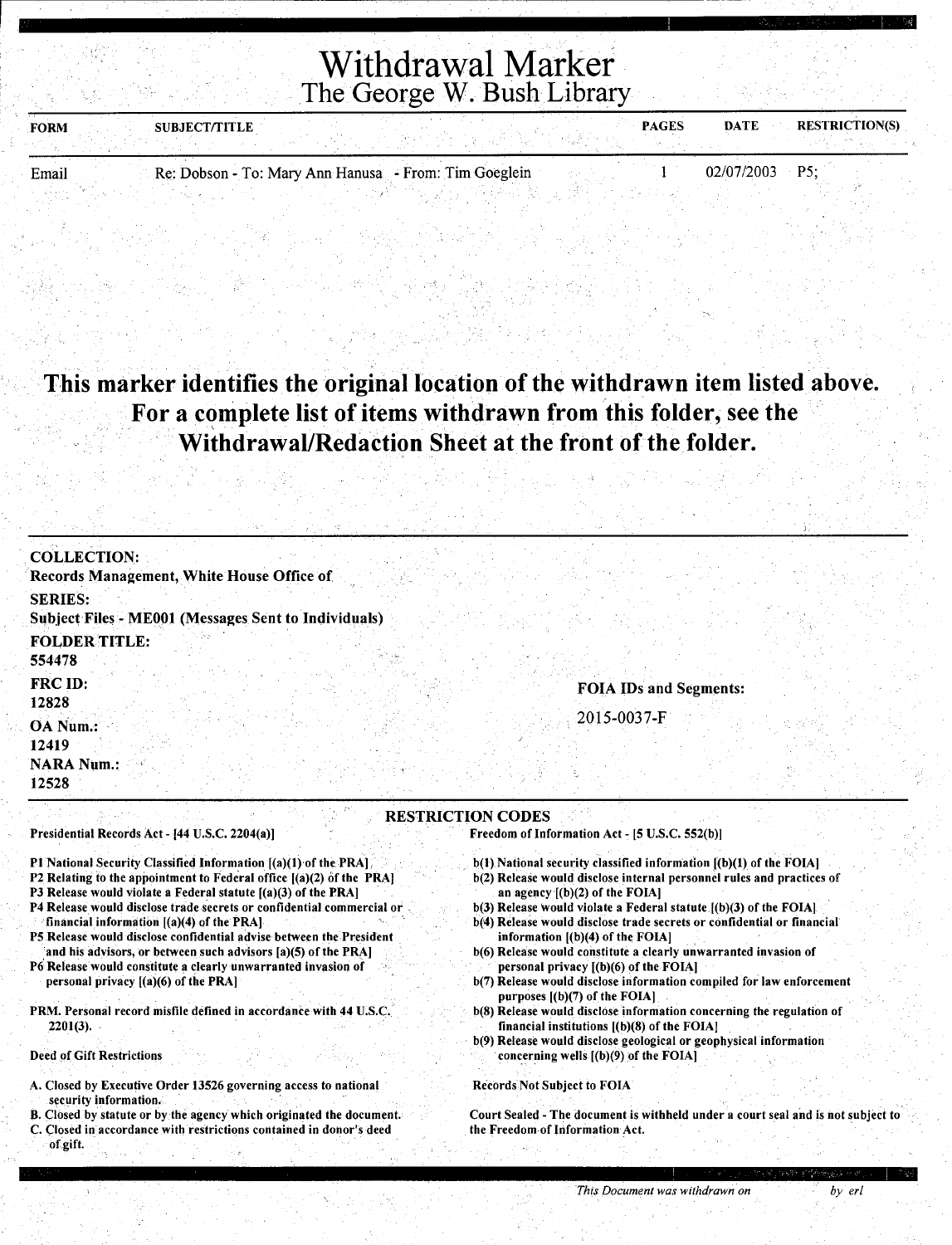Withdrawal Marker The George W. Bush Library

| <b>FORM</b> | <b>SUBJECT/TITLE</b> |                                                       | <b>PAGES</b> | <b>DATE</b><br><b>RESTRICTION(S)</b> |
|-------------|----------------------|-------------------------------------------------------|--------------|--------------------------------------|
|             |                      |                                                       |              |                                      |
| Email       |                      | Re: Dobson - To: Mary Ann Hanusa - From: Tim Goeglein |              | $02/07/2003$ P5;                     |

## This marker identifies the original location of the withdrawn item listed above. For a complete list of items withdrawn from this folder, see the . Withdrawal/Redaction Sheet at the front of the folder.

| <b>COLLECTION:</b>                                                                                                                                                                                                                                                                                                                                                                                                                                                                                                                                                                                                                                                            |                                                                                                                                                                                                                                                                                                                                                                                                                                                                                                                                                                                                                                                                                                                                                                                                 |
|-------------------------------------------------------------------------------------------------------------------------------------------------------------------------------------------------------------------------------------------------------------------------------------------------------------------------------------------------------------------------------------------------------------------------------------------------------------------------------------------------------------------------------------------------------------------------------------------------------------------------------------------------------------------------------|-------------------------------------------------------------------------------------------------------------------------------------------------------------------------------------------------------------------------------------------------------------------------------------------------------------------------------------------------------------------------------------------------------------------------------------------------------------------------------------------------------------------------------------------------------------------------------------------------------------------------------------------------------------------------------------------------------------------------------------------------------------------------------------------------|
| Records Management, White House Office of                                                                                                                                                                                                                                                                                                                                                                                                                                                                                                                                                                                                                                     |                                                                                                                                                                                                                                                                                                                                                                                                                                                                                                                                                                                                                                                                                                                                                                                                 |
| <b>SERIES:</b>                                                                                                                                                                                                                                                                                                                                                                                                                                                                                                                                                                                                                                                                |                                                                                                                                                                                                                                                                                                                                                                                                                                                                                                                                                                                                                                                                                                                                                                                                 |
| <b>Subject Files - ME001 (Messages Sent to Individuals)</b>                                                                                                                                                                                                                                                                                                                                                                                                                                                                                                                                                                                                                   |                                                                                                                                                                                                                                                                                                                                                                                                                                                                                                                                                                                                                                                                                                                                                                                                 |
| <b>FOLDER TITLE:</b>                                                                                                                                                                                                                                                                                                                                                                                                                                                                                                                                                                                                                                                          |                                                                                                                                                                                                                                                                                                                                                                                                                                                                                                                                                                                                                                                                                                                                                                                                 |
| 554478                                                                                                                                                                                                                                                                                                                                                                                                                                                                                                                                                                                                                                                                        |                                                                                                                                                                                                                                                                                                                                                                                                                                                                                                                                                                                                                                                                                                                                                                                                 |
| <b>FRC ID:</b>                                                                                                                                                                                                                                                                                                                                                                                                                                                                                                                                                                                                                                                                | <b>FOIA IDs and Segments:</b>                                                                                                                                                                                                                                                                                                                                                                                                                                                                                                                                                                                                                                                                                                                                                                   |
| 12828                                                                                                                                                                                                                                                                                                                                                                                                                                                                                                                                                                                                                                                                         |                                                                                                                                                                                                                                                                                                                                                                                                                                                                                                                                                                                                                                                                                                                                                                                                 |
| OA Num.:                                                                                                                                                                                                                                                                                                                                                                                                                                                                                                                                                                                                                                                                      | 2015-0037-F                                                                                                                                                                                                                                                                                                                                                                                                                                                                                                                                                                                                                                                                                                                                                                                     |
| 12419                                                                                                                                                                                                                                                                                                                                                                                                                                                                                                                                                                                                                                                                         |                                                                                                                                                                                                                                                                                                                                                                                                                                                                                                                                                                                                                                                                                                                                                                                                 |
| <b>NARA Num.:</b>                                                                                                                                                                                                                                                                                                                                                                                                                                                                                                                                                                                                                                                             |                                                                                                                                                                                                                                                                                                                                                                                                                                                                                                                                                                                                                                                                                                                                                                                                 |
| 12528                                                                                                                                                                                                                                                                                                                                                                                                                                                                                                                                                                                                                                                                         |                                                                                                                                                                                                                                                                                                                                                                                                                                                                                                                                                                                                                                                                                                                                                                                                 |
| P1 National Security Classified Information [(a)(1) of the PRA].<br>P2 Relating to the appointment to Federal office $[(a)(2)$ of the PRA]<br>P3 Release would violate a Federal statute $[(a)(3)$ of the PRA]<br>P4 Release would disclose trade secrets or confidential commercial or<br>financial information $[(a)(4)$ of the PRA]<br>P5 Release would disclose confidential advise between the President<br>and his advisors, or between such advisors [a](5) of the PRA]<br>P6 Release would constitute a clearly unwarranted invasion of<br>personal privacy $[(a)(6)$ of the PRA]<br>PRM. Personal record misfile defined in accordance with 44 U.S.C.<br>$2201(3)$ . | $b(1)$ National security classified information $(a)(1)$ of the FOIA]<br>b(2) Release would disclose internal personnel rules and practices of<br>an agency $[(b)(2)$ of the FOIA]<br>$b(3)$ Release would violate a Federal statute $[(b)(3)$ of the FOIA]<br>b(4) Release would disclose trade secrets or confidential or financial<br>information $[(b)(4)$ of the FOIA]<br>b(6) Release would constitute a clearly unwarranted invasion of<br>personal privacy [(b)(6) of the FOIA]<br>b(7) Release would disclose information compiled for law enforcement<br>purposes $[(b)(7)$ of the FOIA]<br>b(8) Release would disclose information concerning the regulation of<br>financial institutions $[(b)(8)$ of the FOIA<br>b(9) Release would disclose geological or geophysical information |
| <b>Deed of Gift Restrictions</b>                                                                                                                                                                                                                                                                                                                                                                                                                                                                                                                                                                                                                                              | concerning wells $(0)(9)$ of the FOIA]                                                                                                                                                                                                                                                                                                                                                                                                                                                                                                                                                                                                                                                                                                                                                          |
| A. Closed by Executive Order 13526 governing access to national<br>security information.<br>B. Closed by statute or by the agency which originated the document.                                                                                                                                                                                                                                                                                                                                                                                                                                                                                                              | <b>Records Not Subject to FOIA</b><br>Court Sealed - The document is withheld under a court seal and is not subject to                                                                                                                                                                                                                                                                                                                                                                                                                                                                                                                                                                                                                                                                          |
| C. Closed in accordance with restrictions contained in donor's deed                                                                                                                                                                                                                                                                                                                                                                                                                                                                                                                                                                                                           | the Freedom of Information Act.                                                                                                                                                                                                                                                                                                                                                                                                                                                                                                                                                                                                                                                                                                                                                                 |

of.gift.

*This Document was withdrawn.on by er!*